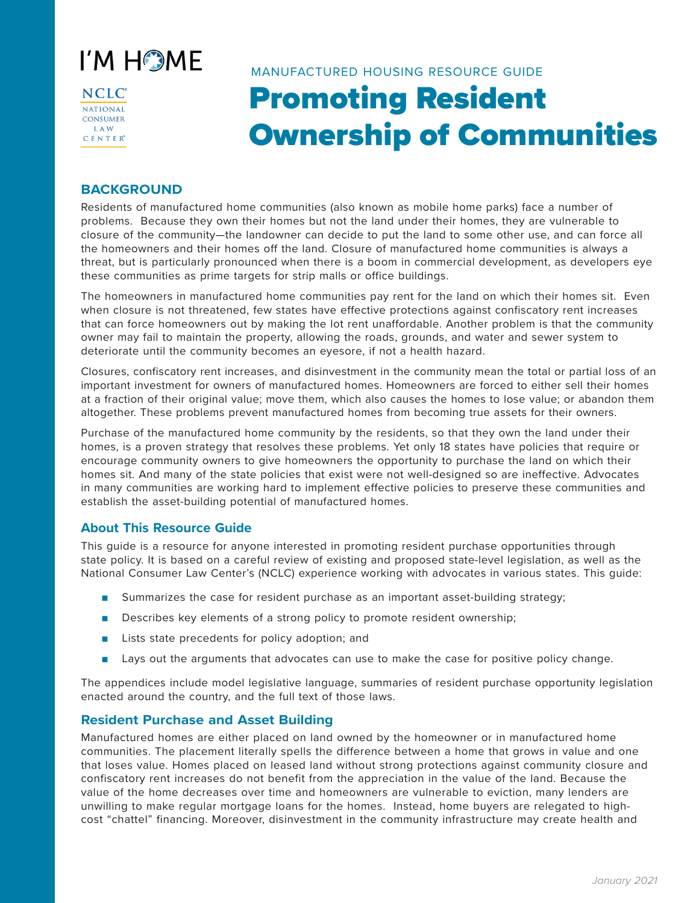

NCLC<sup>®</sup> NATIONAL **CONSUMER LAW**  $C$  E N T E  $R^{\circ}$ 

# Promoting Resident Ownership of Communities MANUFACTURED HOUSING RESOURCE GUIDE

# **BACKGROUND**

Residents of manufactured home communities (also known as mobile home parks) face a number of problems. Because they own their homes but not the land under their homes, they are vulnerable to closure of the community—the landowner can decide to put the land to some other use, and can force all the homeowners and their homes off the land. Closure of manufactured home communities is always a threat, but is particularly pronounced when there is a boom in commercial development, as developers eye these communities as prime targets for strip malls or office buildings.

The homeowners in manufactured home communities pay rent for the land on which their homes sit. Even when closure is not threatened, few states have effective protections against confiscatory rent increases that can force homeowners out by making the lot rent unaffordable. Another problem is that the community owner may fail to maintain the property, allowing the roads, grounds, and water and sewer system to deteriorate until the community becomes an eyesore, if not a health hazard.

Closures, confiscatory rent increases, and disinvestment in the community mean the total or partial loss of an important investment for owners of manufactured homes. Homeowners are forced to either sell their homes at a fraction of their original value; move them, which also causes the homes to lose value; or abandon them altogether. These problems prevent manufactured homes from becoming true assets for their owners.

Purchase of the manufactured home community by the residents, so that they own the land under their homes, is a proven strategy that resolves these problems. Yet only 18 states have policies that require or encourage community owners to give homeowners the opportunity to purchase the land on which their homes sit. And many of the state policies that exist were not well-designed so are ineffective. Advocates in many communities are working hard to implement effective policies to preserve these communities and establish the asset-building potential of manufactured homes.

# **About This Resource Guide**

This guide is a resource for anyone interested in promoting resident purchase opportunities through state policy. It is based on a careful review of existing and proposed state-level legislation, as well as the National Consumer Law Center's (NCLC) experience working with advocates in various states. This guide:

- Summarizes the case for resident purchase as an important asset-building strategy;
- Describes key elements of a strong policy to promote resident ownership;
- Lists state precedents for policy adoption; and
- Lays out the arguments that advocates can use to make the case for positive policy change.

The appendices include model legislative language, summaries of resident purchase opportunity legislation enacted around the country, and the full text of those laws.

# **Resident Purchase and Asset Building**

Manufactured homes are either placed on land owned by the homeowner or in manufactured home communities. The placement literally spells the difference between a home that grows in value and one that loses value. Homes placed on leased land without strong protections against community closure and confiscatory rent increases do not benefit from the appreciation in the value of the land. Because the value of the home decreases over time and homeowners are vulnerable to eviction, many lenders are unwilling to make regular mortgage loans for the homes. Instead, home buyers are relegated to highcost "chattel" financing. Moreover, disinvestment in the community infrastructure may create health and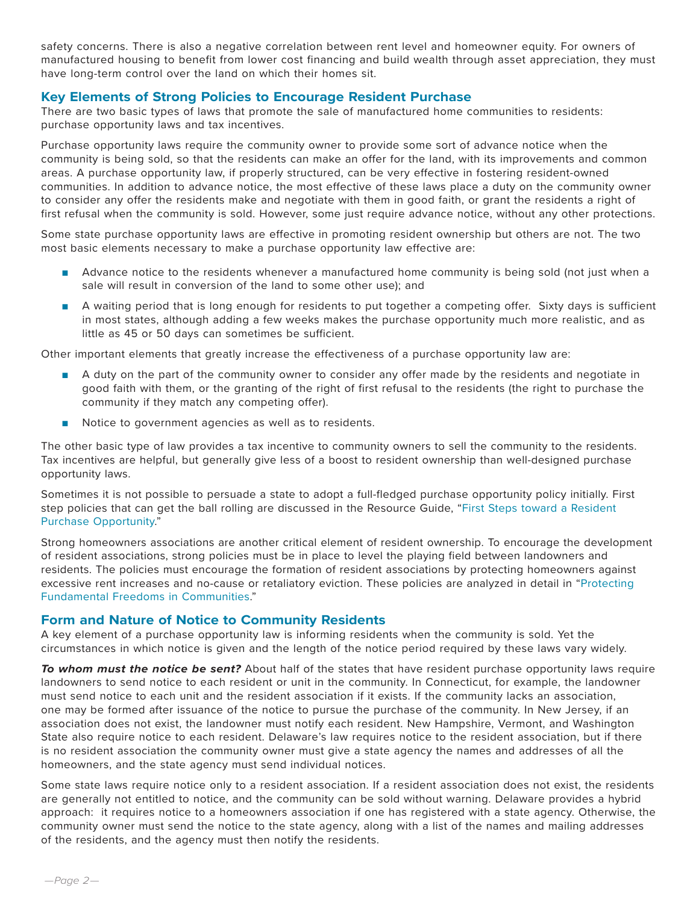safety concerns. There is also a negative correlation between rent level and homeowner equity. For owners of manufactured housing to benefit from lower cost financing and build wealth through asset appreciation, they must have long-term control over the land on which their homes sit.

# **Key Elements of Strong Policies to Encourage Resident Purchase**

There are two basic types of laws that promote the sale of manufactured home communities to residents: purchase opportunity laws and tax incentives.

Purchase opportunity laws require the community owner to provide some sort of advance notice when the community is being sold, so that the residents can make an offer for the land, with its improvements and common areas. A purchase opportunity law, if properly structured, can be very effective in fostering resident-owned communities. In addition to advance notice, the most effective of these laws place a duty on the community owner to consider any offer the residents make and negotiate with them in good faith, or grant the residents a right of first refusal when the community is sold. However, some just require advance notice, without any other protections.

Some state purchase opportunity laws are effective in promoting resident ownership but others are not. The two most basic elements necessary to make a purchase opportunity law effective are:

- Advance notice to the residents whenever a manufactured home community is being sold (not just when a sale will result in conversion of the land to some other use); and
- A waiting period that is long enough for residents to put together a competing offer. Sixty days is sufficient in most states, although adding a few weeks makes the purchase opportunity much more realistic, and as little as 45 or 50 days can sometimes be sufficient.

Other important elements that greatly increase the effectiveness of a purchase opportunity law are:

- A duty on the part of the community owner to consider any offer made by the residents and negotiate in good faith with them, or the granting of the right of first refusal to the residents (the right to purchase the community if they match any competing offer).
- Notice to government agencies as well as to residents.

The other basic type of law provides a tax incentive to community owners to sell the community to the residents. Tax incentives are helpful, but generally give less of a boost to resident ownership than well-designed purchase opportunity laws.

Sometimes it is not possible to persuade a state to adopt a full-fledged purchase opportunity policy initially. First step policies that can get the ball rolling are discussed in the Resource Guide, "First Steps toward a Resident Purchase Opportunity."

Strong homeowners associations are another critical element of resident ownership. To encourage the development of resident associations, strong policies must be in place to level the playing field between landowners and residents. The policies must encourage the formation of resident associations by protecting homeowners against excessive rent increases and no-cause or retaliatory eviction. These policies are analyzed in detail in "Protecting Fundamental Freedoms in Communities."

# **Form and Nature of Notice to Community Residents**

A key element of a purchase opportunity law is informing residents when the community is sold. Yet the circumstances in which notice is given and the length of the notice period required by these laws vary widely.

*To whom must the notice be sent?* About half of the states that have resident purchase opportunity laws require landowners to send notice to each resident or unit in the community. In Connecticut, for example, the landowner must send notice to each unit and the resident association if it exists. If the community lacks an association, one may be formed after issuance of the notice to pursue the purchase of the community. In New Jersey, if an association does not exist, the landowner must notify each resident. New Hampshire, Vermont, and Washington State also require notice to each resident. Delaware's law requires notice to the resident association, but if there is no resident association the community owner must give a state agency the names and addresses of all the homeowners, and the state agency must send individual notices.

Some state laws require notice only to a resident association. If a resident association does not exist, the residents are generally not entitled to notice, and the community can be sold without warning. Delaware provides a hybrid approach: it requires notice to a homeowners association if one has registered with a state agency. Otherwise, the community owner must send the notice to the state agency, along with a list of the names and mailing addresses of the residents, and the agency must then notify the residents.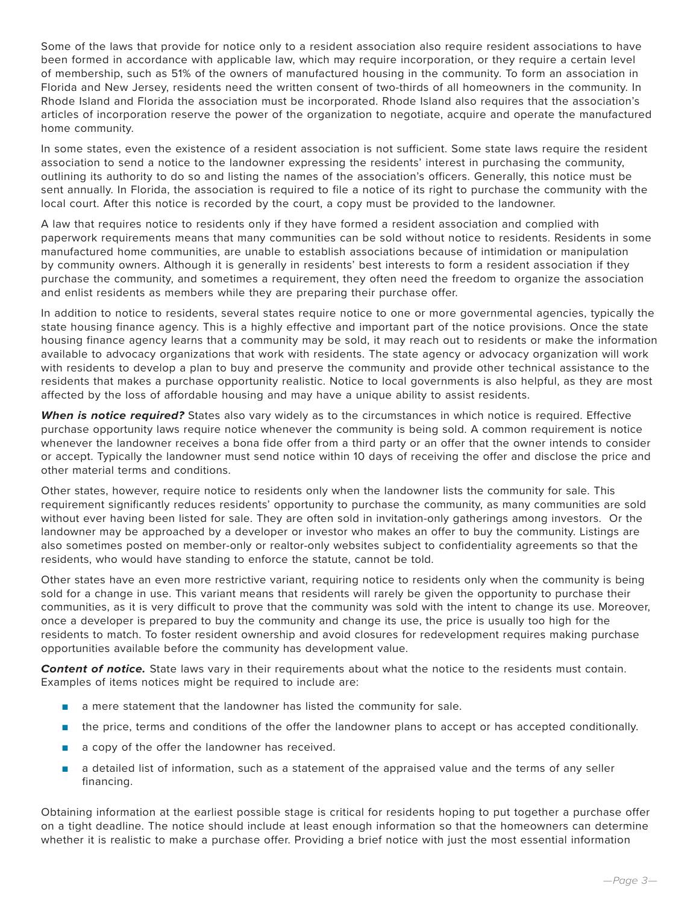Some of the laws that provide for notice only to a resident association also require resident associations to have been formed in accordance with applicable law, which may require incorporation, or they require a certain level of membership, such as 51% of the owners of manufactured housing in the community. To form an association in Florida and New Jersey, residents need the written consent of two-thirds of all homeowners in the community. In Rhode Island and Florida the association must be incorporated. Rhode Island also requires that the association's articles of incorporation reserve the power of the organization to negotiate, acquire and operate the manufactured home community.

In some states, even the existence of a resident association is not sufficient. Some state laws require the resident association to send a notice to the landowner expressing the residents' interest in purchasing the community, outlining its authority to do so and listing the names of the association's officers. Generally, this notice must be sent annually. In Florida, the association is required to file a notice of its right to purchase the community with the local court. After this notice is recorded by the court, a copy must be provided to the landowner.

A law that requires notice to residents only if they have formed a resident association and complied with paperwork requirements means that many communities can be sold without notice to residents. Residents in some manufactured home communities, are unable to establish associations because of intimidation or manipulation by community owners. Although it is generally in residents' best interests to form a resident association if they purchase the community, and sometimes a requirement, they often need the freedom to organize the association and enlist residents as members while they are preparing their purchase offer.

In addition to notice to residents, several states require notice to one or more governmental agencies, typically the state housing finance agency. This is a highly effective and important part of the notice provisions. Once the state housing finance agency learns that a community may be sold, it may reach out to residents or make the information available to advocacy organizations that work with residents. The state agency or advocacy organization will work with residents to develop a plan to buy and preserve the community and provide other technical assistance to the residents that makes a purchase opportunity realistic. Notice to local governments is also helpful, as they are most affected by the loss of affordable housing and may have a unique ability to assist residents.

*When is notice required?* States also vary widely as to the circumstances in which notice is required. Effective purchase opportunity laws require notice whenever the community is being sold. A common requirement is notice whenever the landowner receives a bona fide offer from a third party or an offer that the owner intends to consider or accept. Typically the landowner must send notice within 10 days of receiving the offer and disclose the price and other material terms and conditions.

Other states, however, require notice to residents only when the landowner lists the community for sale. This requirement significantly reduces residents' opportunity to purchase the community, as many communities are sold without ever having been listed for sale. They are often sold in invitation-only gatherings among investors. Or the landowner may be approached by a developer or investor who makes an offer to buy the community. Listings are also sometimes posted on member-only or realtor-only websites subject to confidentiality agreements so that the residents, who would have standing to enforce the statute, cannot be told.

Other states have an even more restrictive variant, requiring notice to residents only when the community is being sold for a change in use. This variant means that residents will rarely be given the opportunity to purchase their communities, as it is very difficult to prove that the community was sold with the intent to change its use. Moreover, once a developer is prepared to buy the community and change its use, the price is usually too high for the residents to match. To foster resident ownership and avoid closures for redevelopment requires making purchase opportunities available before the community has development value.

*Content of notice.* State laws vary in their requirements about what the notice to the residents must contain. Examples of items notices might be required to include are:

- a mere statement that the landowner has listed the community for sale.
- the price, terms and conditions of the offer the landowner plans to accept or has accepted conditionally.
- a copy of the offer the landowner has received.
- a detailed list of information, such as a statement of the appraised value and the terms of any seller financing.

Obtaining information at the earliest possible stage is critical for residents hoping to put together a purchase offer on a tight deadline. The notice should include at least enough information so that the homeowners can determine whether it is realistic to make a purchase offer. Providing a brief notice with just the most essential information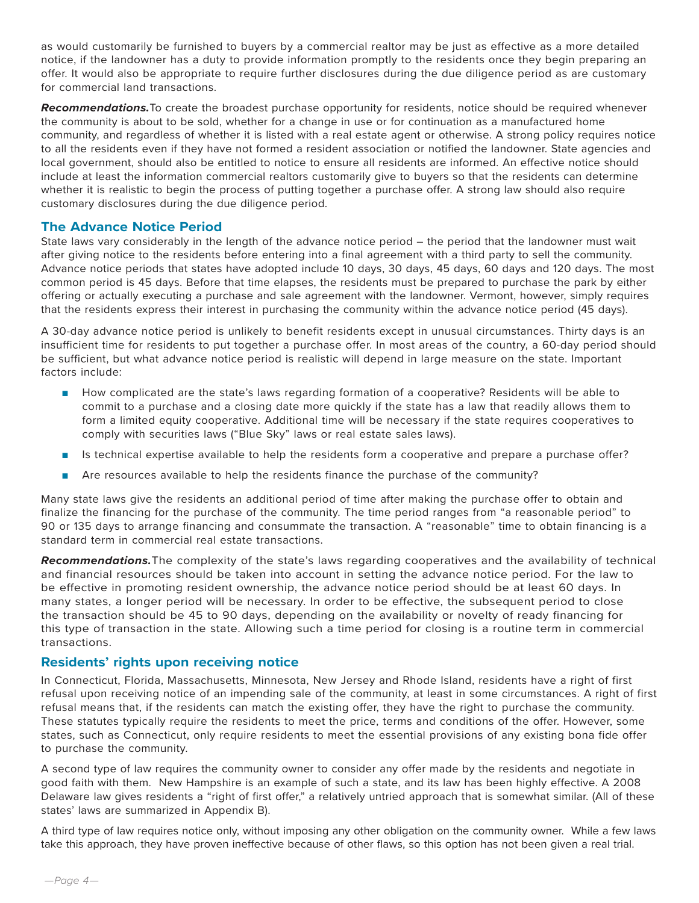as would customarily be furnished to buyers by a commercial realtor may be just as effective as a more detailed notice, if the landowner has a duty to provide information promptly to the residents once they begin preparing an offer. It would also be appropriate to require further disclosures during the due diligence period as are customary for commercial land transactions.

*Recommendations.*To create the broadest purchase opportunity for residents, notice should be required whenever the community is about to be sold, whether for a change in use or for continuation as a manufactured home community, and regardless of whether it is listed with a real estate agent or otherwise. A strong policy requires notice to all the residents even if they have not formed a resident association or notified the landowner. State agencies and local government, should also be entitled to notice to ensure all residents are informed. An effective notice should include at least the information commercial realtors customarily give to buyers so that the residents can determine whether it is realistic to begin the process of putting together a purchase offer. A strong law should also require customary disclosures during the due diligence period.

# **The Advance Notice Period**

State laws vary considerably in the length of the advance notice period – the period that the landowner must wait after giving notice to the residents before entering into a final agreement with a third party to sell the community. Advance notice periods that states have adopted include 10 days, 30 days, 45 days, 60 days and 120 days. The most common period is 45 days. Before that time elapses, the residents must be prepared to purchase the park by either offering or actually executing a purchase and sale agreement with the landowner. Vermont, however, simply requires that the residents express their interest in purchasing the community within the advance notice period (45 days).

A 30-day advance notice period is unlikely to benefit residents except in unusual circumstances. Thirty days is an insufficient time for residents to put together a purchase offer. In most areas of the country, a 60-day period should be sufficient, but what advance notice period is realistic will depend in large measure on the state. Important factors include:

- How complicated are the state's laws regarding formation of a cooperative? Residents will be able to commit to a purchase and a closing date more quickly if the state has a law that readily allows them to form a limited equity cooperative. Additional time will be necessary if the state requires cooperatives to comply with securities laws ("Blue Sky" laws or real estate sales laws).
- Is technical expertise available to help the residents form a cooperative and prepare a purchase offer?
- Are resources available to help the residents finance the purchase of the community?

Many state laws give the residents an additional period of time after making the purchase offer to obtain and finalize the financing for the purchase of the community. The time period ranges from "a reasonable period" to 90 or 135 days to arrange financing and consummate the transaction. A "reasonable" time to obtain financing is a standard term in commercial real estate transactions.

*Recommendations.*The complexity of the state's laws regarding cooperatives and the availability of technical and financial resources should be taken into account in setting the advance notice period. For the law to be effective in promoting resident ownership, the advance notice period should be at least 60 days. In many states, a longer period will be necessary. In order to be effective, the subsequent period to close the transaction should be 45 to 90 days, depending on the availability or novelty of ready financing for this type of transaction in the state. Allowing such a time period for closing is a routine term in commercial transactions.

# **Residents' rights upon receiving notice**

In Connecticut, Florida, Massachusetts, Minnesota, New Jersey and Rhode Island, residents have a right of first refusal upon receiving notice of an impending sale of the community, at least in some circumstances. A right of first refusal means that, if the residents can match the existing offer, they have the right to purchase the community. These statutes typically require the residents to meet the price, terms and conditions of the offer. However, some states, such as Connecticut, only require residents to meet the essential provisions of any existing bona fide offer to purchase the community.

A second type of law requires the community owner to consider any offer made by the residents and negotiate in good faith with them. New Hampshire is an example of such a state, and its law has been highly effective. A 2008 Delaware law gives residents a "right of first offer," a relatively untried approach that is somewhat similar. (All of these states' laws are summarized in Appendix B).

A third type of law requires notice only, without imposing any other obligation on the community owner. While a few laws take this approach, they have proven ineffective because of other flaws, so this option has not been given a real trial.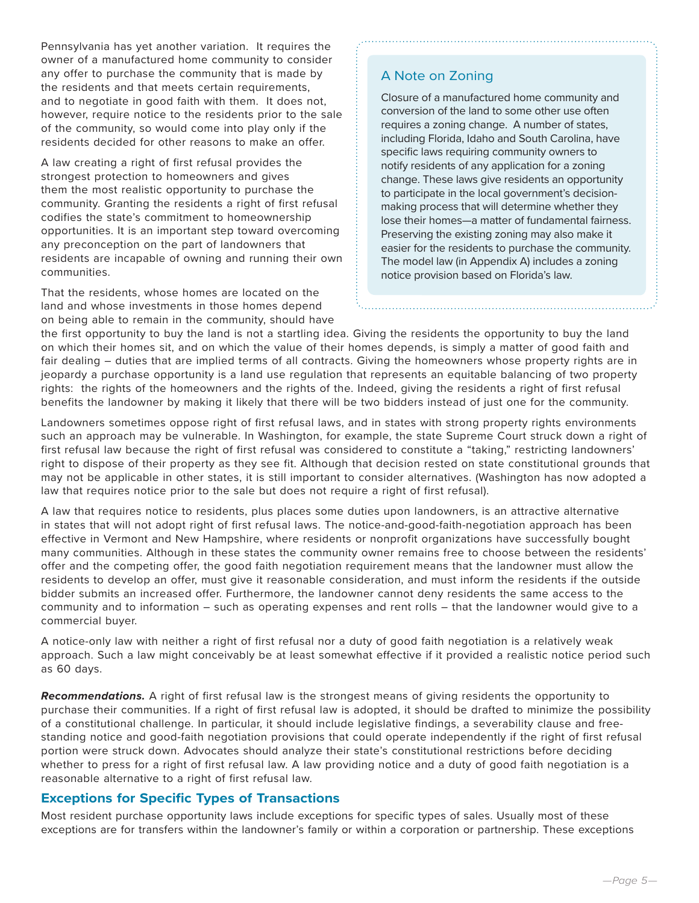Pennsylvania has yet another variation. It requires the owner of a manufactured home community to consider any offer to purchase the community that is made by the residents and that meets certain requirements, and to negotiate in good faith with them. It does not, however, require notice to the residents prior to the sale of the community, so would come into play only if the residents decided for other reasons to make an offer.

A law creating a right of first refusal provides the strongest protection to homeowners and gives them the most realistic opportunity to purchase the community. Granting the residents a right of first refusal codifies the state's commitment to homeownership opportunities. It is an important step toward overcoming any preconception on the part of landowners that residents are incapable of owning and running their own communities.

That the residents, whose homes are located on the land and whose investments in those homes depend on being able to remain in the community, should have

# A Note on Zoning

Closure of a manufactured home community and conversion of the land to some other use often requires a zoning change. A number of states, including Florida, Idaho and South Carolina, have specific laws requiring community owners to notify residents of any application for a zoning change. These laws give residents an opportunity to participate in the local government's decisionmaking process that will determine whether they lose their homes—a matter of fundamental fairness. Preserving the existing zoning may also make it easier for the residents to purchase the community. The model law (in Appendix A) includes a zoning notice provision based on Florida's law.

the first opportunity to buy the land is not a startling idea. Giving the residents the opportunity to buy the land on which their homes sit, and on which the value of their homes depends, is simply a matter of good faith and fair dealing – duties that are implied terms of all contracts. Giving the homeowners whose property rights are in jeopardy a purchase opportunity is a land use regulation that represents an equitable balancing of two property rights: the rights of the homeowners and the rights of the. Indeed, giving the residents a right of first refusal benefits the landowner by making it likely that there will be two bidders instead of just one for the community.

Landowners sometimes oppose right of first refusal laws, and in states with strong property rights environments such an approach may be vulnerable. In Washington, for example, the state Supreme Court struck down a right of first refusal law because the right of first refusal was considered to constitute a "taking," restricting landowners' right to dispose of their property as they see fit. Although that decision rested on state constitutional grounds that may not be applicable in other states, it is still important to consider alternatives. (Washington has now adopted a law that requires notice prior to the sale but does not require a right of first refusal).

A law that requires notice to residents, plus places some duties upon landowners, is an attractive alternative in states that will not adopt right of first refusal laws. The notice-and-good-faith-negotiation approach has been effective in Vermont and New Hampshire, where residents or nonprofit organizations have successfully bought many communities. Although in these states the community owner remains free to choose between the residents' offer and the competing offer, the good faith negotiation requirement means that the landowner must allow the residents to develop an offer, must give it reasonable consideration, and must inform the residents if the outside bidder submits an increased offer. Furthermore, the landowner cannot deny residents the same access to the community and to information – such as operating expenses and rent rolls – that the landowner would give to a commercial buyer.

A notice-only law with neither a right of first refusal nor a duty of good faith negotiation is a relatively weak approach. Such a law might conceivably be at least somewhat effective if it provided a realistic notice period such as 60 days.

*Recommendations.* A right of first refusal law is the strongest means of giving residents the opportunity to purchase their communities. If a right of first refusal law is adopted, it should be drafted to minimize the possibility of a constitutional challenge. In particular, it should include legislative findings, a severability clause and freestanding notice and good-faith negotiation provisions that could operate independently if the right of first refusal portion were struck down. Advocates should analyze their state's constitutional restrictions before deciding whether to press for a right of first refusal law. A law providing notice and a duty of good faith negotiation is a reasonable alternative to a right of first refusal law.

# **Exceptions for Specific Types of Transactions**

Most resident purchase opportunity laws include exceptions for specific types of sales. Usually most of these exceptions are for transfers within the landowner's family or within a corporation or partnership. These exceptions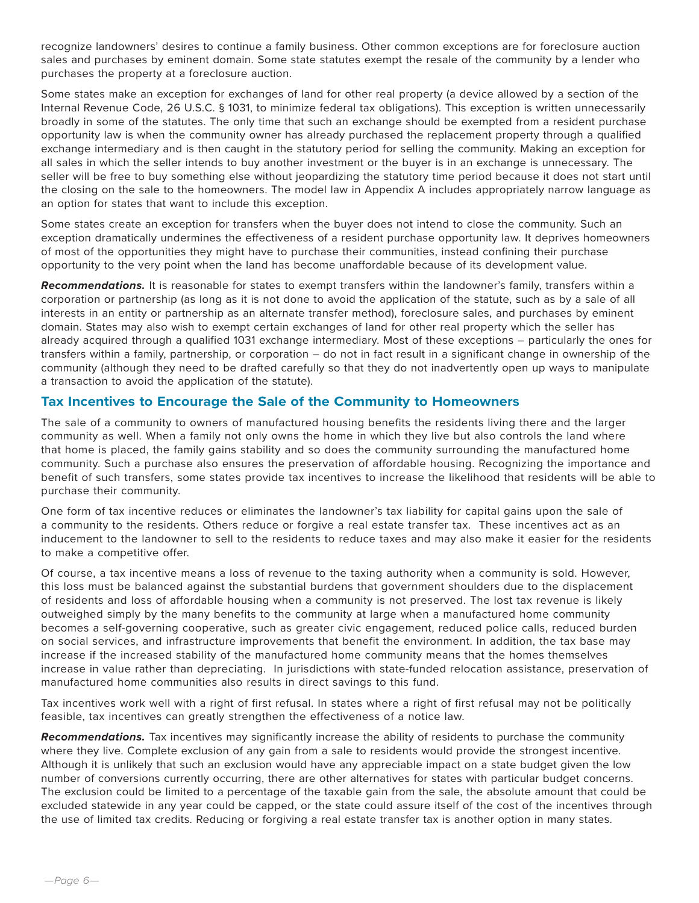recognize landowners' desires to continue a family business. Other common exceptions are for foreclosure auction sales and purchases by eminent domain. Some state statutes exempt the resale of the community by a lender who purchases the property at a foreclosure auction.

Some states make an exception for exchanges of land for other real property (a device allowed by a section of the Internal Revenue Code, 26 U.S.C. § 1031, to minimize federal tax obligations). This exception is written unnecessarily broadly in some of the statutes. The only time that such an exchange should be exempted from a resident purchase opportunity law is when the community owner has already purchased the replacement property through a qualified exchange intermediary and is then caught in the statutory period for selling the community. Making an exception for all sales in which the seller intends to buy another investment or the buyer is in an exchange is unnecessary. The seller will be free to buy something else without jeopardizing the statutory time period because it does not start until the closing on the sale to the homeowners. The model law in Appendix A includes appropriately narrow language as an option for states that want to include this exception.

Some states create an exception for transfers when the buyer does not intend to close the community. Such an exception dramatically undermines the effectiveness of a resident purchase opportunity law. It deprives homeowners of most of the opportunities they might have to purchase their communities, instead confining their purchase opportunity to the very point when the land has become unaffordable because of its development value.

*Recommendations.* It is reasonable for states to exempt transfers within the landowner's family, transfers within a corporation or partnership (as long as it is not done to avoid the application of the statute, such as by a sale of all interests in an entity or partnership as an alternate transfer method), foreclosure sales, and purchases by eminent domain. States may also wish to exempt certain exchanges of land for other real property which the seller has already acquired through a qualified 1031 exchange intermediary. Most of these exceptions – particularly the ones for transfers within a family, partnership, or corporation – do not in fact result in a significant change in ownership of the community (although they need to be drafted carefully so that they do not inadvertently open up ways to manipulate a transaction to avoid the application of the statute).

# **Tax Incentives to Encourage the Sale of the Community to Homeowners**

The sale of a community to owners of manufactured housing benefits the residents living there and the larger community as well. When a family not only owns the home in which they live but also controls the land where that home is placed, the family gains stability and so does the community surrounding the manufactured home community. Such a purchase also ensures the preservation of affordable housing. Recognizing the importance and benefit of such transfers, some states provide tax incentives to increase the likelihood that residents will be able to purchase their community.

One form of tax incentive reduces or eliminates the landowner's tax liability for capital gains upon the sale of a community to the residents. Others reduce or forgive a real estate transfer tax. These incentives act as an inducement to the landowner to sell to the residents to reduce taxes and may also make it easier for the residents to make a competitive offer.

Of course, a tax incentive means a loss of revenue to the taxing authority when a community is sold. However, this loss must be balanced against the substantial burdens that government shoulders due to the displacement of residents and loss of affordable housing when a community is not preserved. The lost tax revenue is likely outweighed simply by the many benefits to the community at large when a manufactured home community becomes a self-governing cooperative, such as greater civic engagement, reduced police calls, reduced burden on social services, and infrastructure improvements that benefit the environment. In addition, the tax base may increase if the increased stability of the manufactured home community means that the homes themselves increase in value rather than depreciating. In jurisdictions with state-funded relocation assistance, preservation of manufactured home communities also results in direct savings to this fund.

Tax incentives work well with a right of first refusal. In states where a right of first refusal may not be politically feasible, tax incentives can greatly strengthen the effectiveness of a notice law.

*Recommendations.* Tax incentives may significantly increase the ability of residents to purchase the community where they live. Complete exclusion of any gain from a sale to residents would provide the strongest incentive. Although it is unlikely that such an exclusion would have any appreciable impact on a state budget given the low number of conversions currently occurring, there are other alternatives for states with particular budget concerns. The exclusion could be limited to a percentage of the taxable gain from the sale, the absolute amount that could be excluded statewide in any year could be capped, or the state could assure itself of the cost of the incentives through the use of limited tax credits. Reducing or forgiving a real estate transfer tax is another option in many states.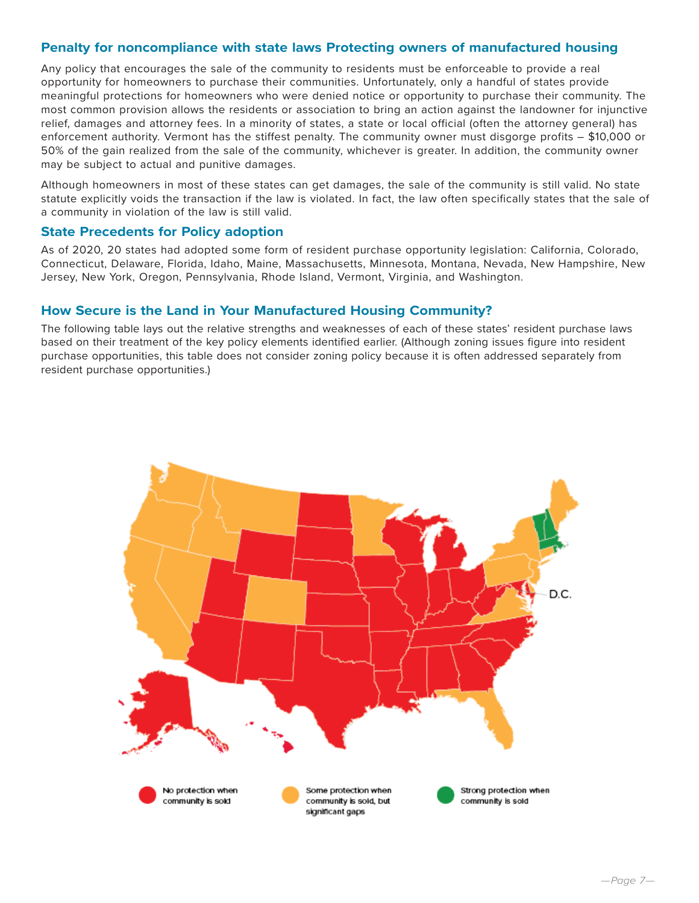# **Penalty for noncompliance with state laws Protecting owners of manufactured housing**

Any policy that encourages the sale of the community to residents must be enforceable to provide a real opportunity for homeowners to purchase their communities. Unfortunately, only a handful of states provide meaningful protections for homeowners who were denied notice or opportunity to purchase their community. The most common provision allows the residents or association to bring an action against the landowner for injunctive relief, damages and attorney fees. In a minority of states, a state or local official (often the attorney general) has enforcement authority. Vermont has the stiffest penalty. The community owner must disgorge profits – \$10,000 or 50% of the gain realized from the sale of the community, whichever is greater. In addition, the community owner may be subject to actual and punitive damages.

Although homeowners in most of these states can get damages, the sale of the community is still valid. No state statute explicitly voids the transaction if the law is violated. In fact, the law often specifically states that the sale of a community in violation of the law is still valid.

## **State Precedents for Policy adoption**

As of 2020, 20 states had adopted some form of resident purchase opportunity legislation: California, Colorado, Connecticut, Delaware, Florida, Idaho, Maine, Massachusetts, Minnesota, Montana, Nevada, New Hampshire, New Jersey, New York, Oregon, Pennsylvania, Rhode Island, Vermont, Virginia, and Washington.

# **How Secure is the Land in Your Manufactured Housing Community?**

The following table lays out the relative strengths and weaknesses of each of these states' resident purchase laws based on their treatment of the key policy elements identified earlier. (Although zoning issues figure into resident purchase opportunities, this table does not consider zoning policy because it is often addressed separately from resident purchase opportunities.)

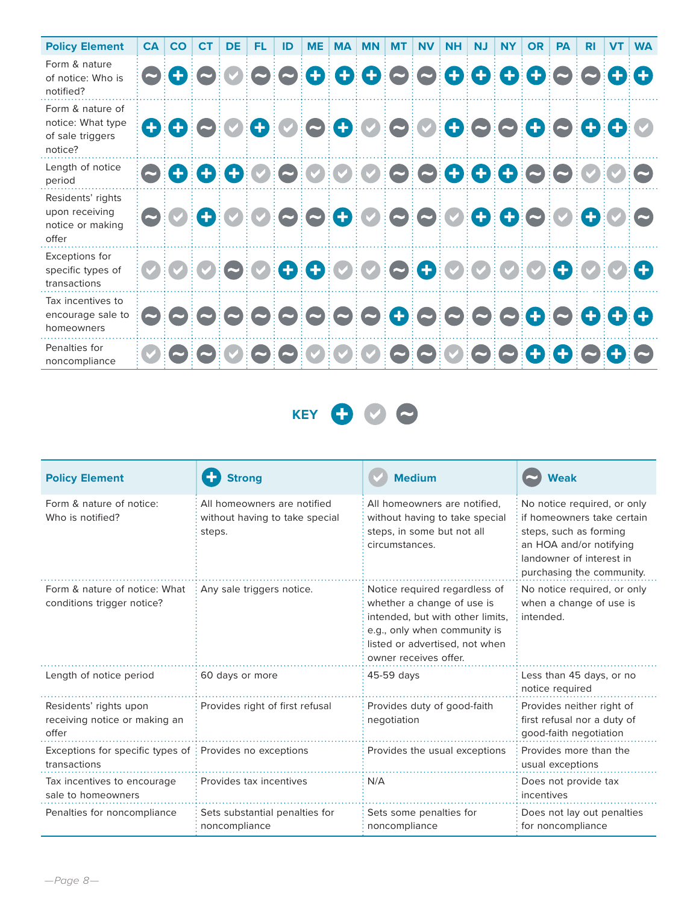| <b>Policy Element</b>                                                | <b>CA</b> | <b>CO</b>                | CT | <b>DE</b> | FL. | ID | <b>ME</b> | <b>MA</b> | <b>MN</b>                           | <b>MT</b> | <b>NV</b> | <b>NH</b> | <b>NJ</b> | <b>NY</b> | <b>OR</b> | <b>PA</b> | <b>RI</b> | <b>VT</b> | <b>WA</b> |
|----------------------------------------------------------------------|-----------|--------------------------|----|-----------|-----|----|-----------|-----------|-------------------------------------|-----------|-----------|-----------|-----------|-----------|-----------|-----------|-----------|-----------|-----------|
| Form & nature<br>of notice: Who is<br>notified?                      |           | $\mathbf{O}(\mathbf{f})$ |    |           |     |    |           |           | 00000000000000000                   |           |           |           |           |           |           |           |           |           |           |
| Form & nature of<br>notice: What type<br>of sale triggers<br>notice? |           |                          |    |           |     |    |           |           | 000000000000000000                  |           |           |           |           |           |           |           |           |           |           |
| Length of notice<br>period                                           |           |                          |    |           |     |    |           |           | 0000000000000000000                 |           |           |           |           |           |           |           |           |           |           |
| Residents' rights<br>upon receiving<br>notice or making<br>offer     |           | $\blacktriangleright$    |    |           |     |    |           |           | 0000000000000000                    |           |           |           |           |           |           |           |           |           |           |
| Exceptions for<br>specific types of<br>transactions                  |           |                          |    |           |     |    |           |           | 0 0 0 0 0 0 0 0 0 0 0 0 0 0 0 0 0 0 |           |           |           |           |           |           |           |           |           |           |
| Tax incentives to<br>encourage sale to<br>homeowners                 |           |                          |    |           |     |    |           |           |                                     |           |           |           |           |           |           |           |           |           |           |
| Penalties for<br>noncompliance                                       |           |                          |    |           |     |    |           |           | 000000000000000000                  |           |           |           |           |           |           |           |           |           |           |

**KEY 000** 

| <b>Policy Element</b>                                                                 | Strona                                                                  | <b>Medium</b>                                                                                                                                                                              | <b>Weak</b>                                                                                                                                                             |  |  |  |
|---------------------------------------------------------------------------------------|-------------------------------------------------------------------------|--------------------------------------------------------------------------------------------------------------------------------------------------------------------------------------------|-------------------------------------------------------------------------------------------------------------------------------------------------------------------------|--|--|--|
| Form & nature of notice:<br>Who is notified?                                          | All homeowners are notified<br>without having to take special<br>steps. | All homeowners are notified.<br>without having to take special<br>steps, in some but not all<br>circumstances.                                                                             | No notice required, or only<br>if homeowners take certain<br>steps, such as forming<br>an HOA and/or notifying<br>landowner of interest in<br>purchasing the community. |  |  |  |
| Form & nature of notice: What<br>conditions trigger notice?                           | Any sale triggers notice.                                               | Notice required regardless of<br>whether a change of use is<br>intended, but with other limits,<br>e.g., only when community is<br>listed or advertised, not when<br>owner receives offer. | No notice required, or only<br>when a change of use is<br>intended.                                                                                                     |  |  |  |
| Length of notice period                                                               | 60 days or more                                                         | 45-59 days                                                                                                                                                                                 | Less than 45 days, or no<br>notice required                                                                                                                             |  |  |  |
| Residents' rights upon<br>receiving notice or making an<br>offer                      | Provides right of first refusal                                         | Provides duty of good-faith<br>negotiation                                                                                                                                                 | Provides neither right of<br>first refusal nor a duty of<br>good-faith negotiation                                                                                      |  |  |  |
| Exceptions for specific types of $\frac{1}{2}$ Provides no exceptions<br>transactions |                                                                         | Provides the usual exceptions                                                                                                                                                              | Provides more than the<br>usual exceptions                                                                                                                              |  |  |  |
| Tax incentives to encourage<br>sale to homeowners                                     | Provides tax incentives                                                 | N/A                                                                                                                                                                                        | Does not provide tax<br>incentives                                                                                                                                      |  |  |  |
| Penalties for noncompliance                                                           | Sets substantial penalties for<br>noncompliance                         | Sets some penalties for<br>noncompliance                                                                                                                                                   | Does not lay out penalties<br>for noncompliance                                                                                                                         |  |  |  |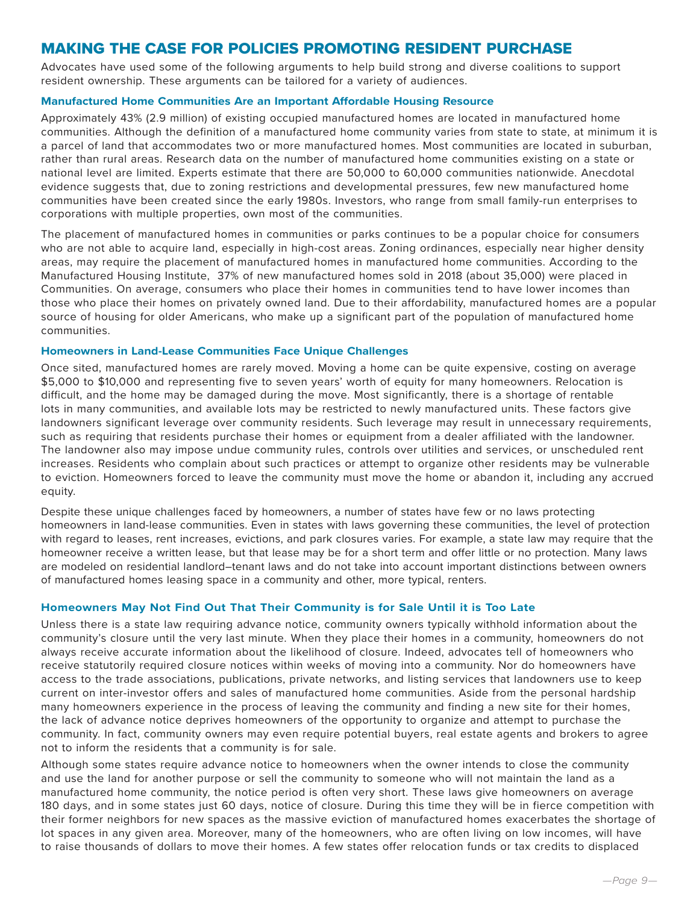# MAKING THE CASE FOR POLICIES PROMOTING RESIDENT PURCHASE

Advocates have used some of the following arguments to help build strong and diverse coalitions to support resident ownership. These arguments can be tailored for a variety of audiences.

#### **Manufactured Home Communities Are an Important Affordable Housing Resource**

Approximately 43% (2.9 million) of existing occupied manufactured homes are located in manufactured home communities. Although the definition of a manufactured home community varies from state to state, at minimum it is a parcel of land that accommodates two or more manufactured homes. Most communities are located in suburban, rather than rural areas. Research data on the number of manufactured home communities existing on a state or national level are limited. Experts estimate that there are 50,000 to 60,000 communities nationwide. Anecdotal evidence suggests that, due to zoning restrictions and developmental pressures, few new manufactured home communities have been created since the early 1980s. Investors, who range from small family-run enterprises to corporations with multiple properties, own most of the communities.

The placement of manufactured homes in communities or parks continues to be a popular choice for consumers who are not able to acquire land, especially in high-cost areas. Zoning ordinances, especially near higher density areas, may require the placement of manufactured homes in manufactured home communities. According to the Manufactured Housing Institute, 37% of new manufactured homes sold in 2018 (about 35,000) were placed in Communities. On average, consumers who place their homes in communities tend to have lower incomes than those who place their homes on privately owned land. Due to their affordability, manufactured homes are a popular source of housing for older Americans, who make up a significant part of the population of manufactured home communities.

### **Homeowners in Land-Lease Communities Face Unique Challenges**

Once sited, manufactured homes are rarely moved. Moving a home can be quite expensive, costing on average \$5,000 to \$10,000 and representing five to seven years' worth of equity for many homeowners. Relocation is difficult, and the home may be damaged during the move. Most significantly, there is a shortage of rentable lots in many communities, and available lots may be restricted to newly manufactured units. These factors give landowners significant leverage over community residents. Such leverage may result in unnecessary requirements, such as requiring that residents purchase their homes or equipment from a dealer affiliated with the landowner. The landowner also may impose undue community rules, controls over utilities and services, or unscheduled rent increases. Residents who complain about such practices or attempt to organize other residents may be vulnerable to eviction. Homeowners forced to leave the community must move the home or abandon it, including any accrued equity.

Despite these unique challenges faced by homeowners, a number of states have few or no laws protecting homeowners in land-lease communities. Even in states with laws governing these communities, the level of protection with regard to leases, rent increases, evictions, and park closures varies. For example, a state law may require that the homeowner receive a written lease, but that lease may be for a short term and offer little or no protection. Many laws are modeled on residential landlord–tenant laws and do not take into account important distinctions between owners of manufactured homes leasing space in a community and other, more typical, renters.

### **Homeowners May Not Find Out That Their Community is for Sale Until it is Too Late**

Unless there is a state law requiring advance notice, community owners typically withhold information about the community's closure until the very last minute. When they place their homes in a community, homeowners do not always receive accurate information about the likelihood of closure. Indeed, advocates tell of homeowners who receive statutorily required closure notices within weeks of moving into a community. Nor do homeowners have access to the trade associations, publications, private networks, and listing services that landowners use to keep current on inter-investor offers and sales of manufactured home communities. Aside from the personal hardship many homeowners experience in the process of leaving the community and finding a new site for their homes, the lack of advance notice deprives homeowners of the opportunity to organize and attempt to purchase the community. In fact, community owners may even require potential buyers, real estate agents and brokers to agree not to inform the residents that a community is for sale.

Although some states require advance notice to homeowners when the owner intends to close the community and use the land for another purpose or sell the community to someone who will not maintain the land as a manufactured home community, the notice period is often very short. These laws give homeowners on average 180 days, and in some states just 60 days, notice of closure. During this time they will be in fierce competition with their former neighbors for new spaces as the massive eviction of manufactured homes exacerbates the shortage of lot spaces in any given area. Moreover, many of the homeowners, who are often living on low incomes, will have to raise thousands of dollars to move their homes. A few states offer relocation funds or tax credits to displaced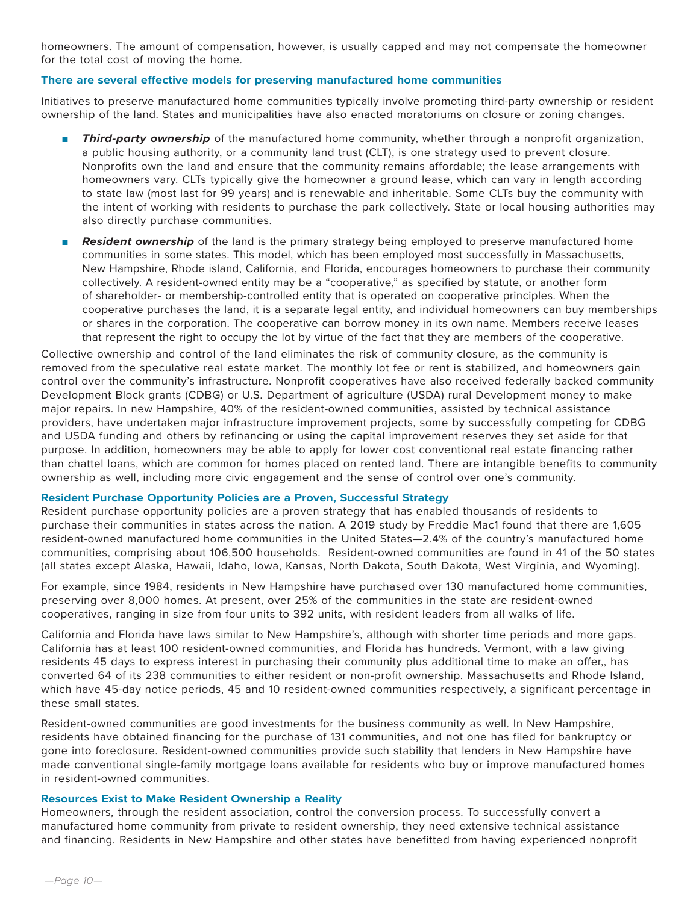homeowners. The amount of compensation, however, is usually capped and may not compensate the homeowner for the total cost of moving the home.

### **There are several effective models for preserving manufactured home communities**

Initiatives to preserve manufactured home communities typically involve promoting third-party ownership or resident ownership of the land. States and municipalities have also enacted moratoriums on closure or zoning changes.

- **Third-party ownership** of the manufactured home community, whether through a nonprofit organization, a public housing authority, or a community land trust (CLT), is one strategy used to prevent closure. Nonprofits own the land and ensure that the community remains affordable; the lease arrangements with homeowners vary. CLTs typically give the homeowner a ground lease, which can vary in length according to state law (most last for 99 years) and is renewable and inheritable. Some CLTs buy the community with the intent of working with residents to purchase the park collectively. State or local housing authorities may also directly purchase communities.
- **Resident ownership** of the land is the primary strategy being employed to preserve manufactured home communities in some states. This model, which has been employed most successfully in Massachusetts, New Hampshire, Rhode island, California, and Florida, encourages homeowners to purchase their community collectively. A resident-owned entity may be a "cooperative," as specified by statute, or another form of shareholder- or membership-controlled entity that is operated on cooperative principles. When the cooperative purchases the land, it is a separate legal entity, and individual homeowners can buy memberships or shares in the corporation. The cooperative can borrow money in its own name. Members receive leases that represent the right to occupy the lot by virtue of the fact that they are members of the cooperative.

Collective ownership and control of the land eliminates the risk of community closure, as the community is removed from the speculative real estate market. The monthly lot fee or rent is stabilized, and homeowners gain control over the community's infrastructure. Nonprofit cooperatives have also received federally backed community Development Block grants (CDBG) or U.S. Department of agriculture (USDA) rural Development money to make major repairs. In new Hampshire, 40% of the resident-owned communities, assisted by technical assistance providers, have undertaken major infrastructure improvement projects, some by successfully competing for CDBG and USDA funding and others by refinancing or using the capital improvement reserves they set aside for that purpose. In addition, homeowners may be able to apply for lower cost conventional real estate financing rather than chattel loans, which are common for homes placed on rented land. There are intangible benefits to community ownership as well, including more civic engagement and the sense of control over one's community.

#### **Resident Purchase Opportunity Policies are a Proven, Successful Strategy**

Resident purchase opportunity policies are a proven strategy that has enabled thousands of residents to purchase their communities in states across the nation. A 2019 study by Freddie Mac1 found that there are 1,605 resident-owned manufactured home communities in the United States—2.4% of the country's manufactured home communities, comprising about 106,500 households. Resident-owned communities are found in 41 of the 50 states (all states except Alaska, Hawaii, Idaho, Iowa, Kansas, North Dakota, South Dakota, West Virginia, and Wyoming).

For example, since 1984, residents in New Hampshire have purchased over 130 manufactured home communities, preserving over 8,000 homes. At present, over 25% of the communities in the state are resident-owned cooperatives, ranging in size from four units to 392 units, with resident leaders from all walks of life.

California and Florida have laws similar to New Hampshire's, although with shorter time periods and more gaps. California has at least 100 resident-owned communities, and Florida has hundreds. Vermont, with a law giving residents 45 days to express interest in purchasing their community plus additional time to make an offer,, has converted 64 of its 238 communities to either resident or non-profit ownership. Massachusetts and Rhode Island, which have 45-day notice periods, 45 and 10 resident-owned communities respectively, a significant percentage in these small states.

Resident-owned communities are good investments for the business community as well. In New Hampshire, residents have obtained financing for the purchase of 131 communities, and not one has filed for bankruptcy or gone into foreclosure. Resident-owned communities provide such stability that lenders in New Hampshire have made conventional single-family mortgage loans available for residents who buy or improve manufactured homes in resident-owned communities.

#### **Resources Exist to Make Resident Ownership a Reality**

Homeowners, through the resident association, control the conversion process. To successfully convert a manufactured home community from private to resident ownership, they need extensive technical assistance and financing. Residents in New Hampshire and other states have benefitted from having experienced nonprofit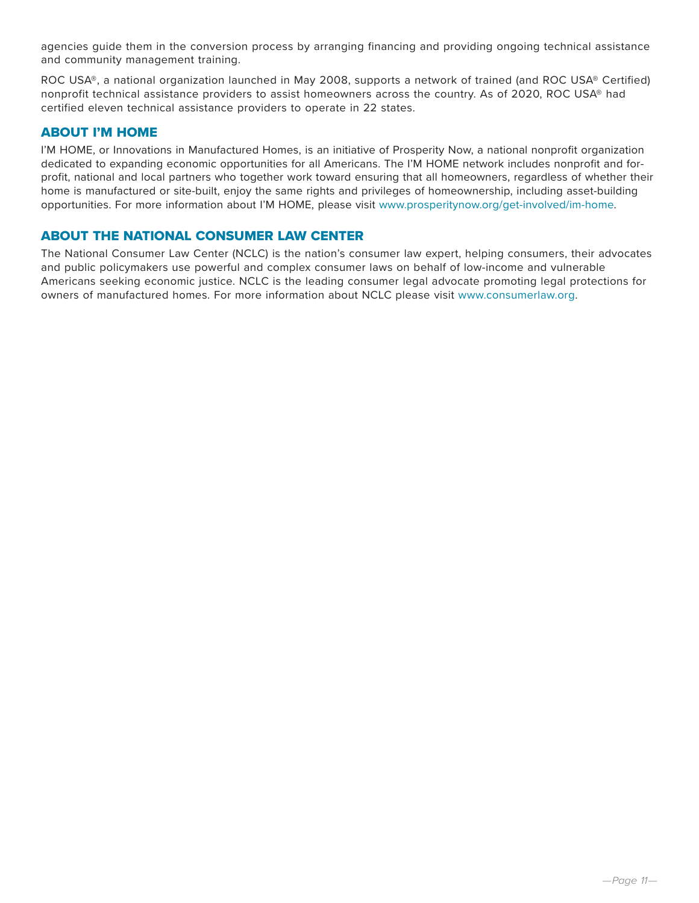agencies guide them in the conversion process by arranging financing and providing ongoing technical assistance and community management training.

ROC USA®, a national organization launched in May 2008, supports a network of trained (and ROC USA® Certified) nonprofit technical assistance providers to assist homeowners across the country. As of 2020, ROC USA® had certified eleven technical assistance providers to operate in 22 states.

# ABOUT I'M HOME

I'M HOME, or Innovations in Manufactured Homes, is an initiative of Prosperity Now, a national nonprofit organization dedicated to expanding economic opportunities for all Americans. The I'M HOME network includes nonprofit and forprofit, national and local partners who together work toward ensuring that all homeowners, regardless of whether their home is manufactured or site-built, enjoy the same rights and privileges of homeownership, including asset-building opportunities. For more information about I'M HOME, please visit www.prosperitynow.org/get-involved/im-home.

# ABOUT THE NATIONAL CONSUMER LAW CENTER

The National Consumer Law Center (NCLC) is the nation's consumer law expert, helping consumers, their advocates and public policymakers use powerful and complex consumer laws on behalf of low-income and vulnerable Americans seeking economic justice. NCLC is the leading consumer legal advocate promoting legal protections for owners of manufactured homes. For more information about NCLC please visit www.consumerlaw.org.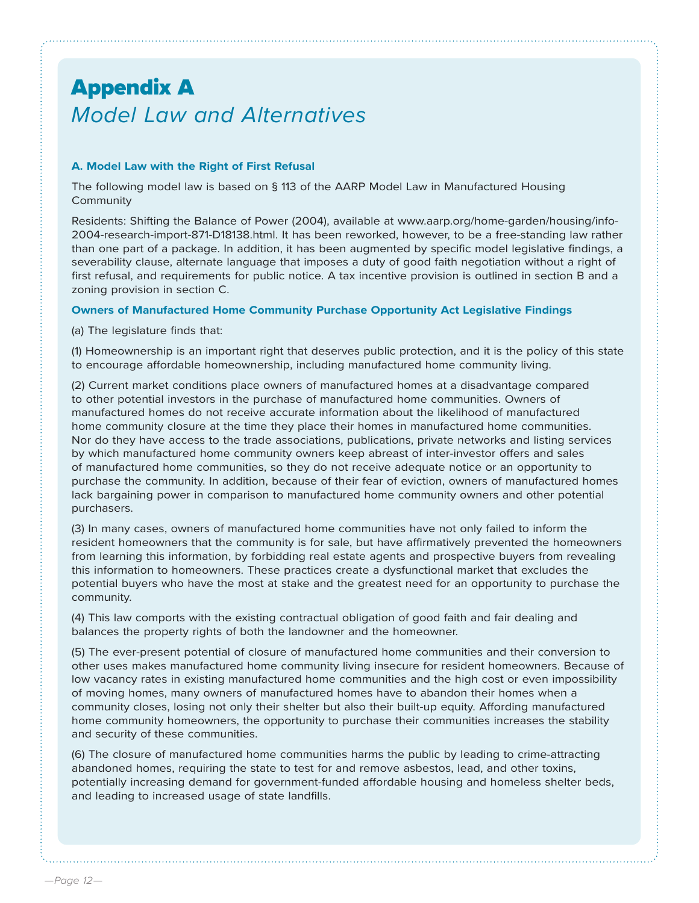# Appendix A *Model Law and Alternatives*

## **A. Model Law with the Right of First Refusal**

The following model law is based on § 113 of the AARP Model Law in Manufactured Housing Community

Residents: Shifting the Balance of Power (2004), available at www.aarp.org/home-garden/housing/info-2004-research-import-871-D18138.html. It has been reworked, however, to be a free-standing law rather than one part of a package. In addition, it has been augmented by specific model legislative findings, a severability clause, alternate language that imposes a duty of good faith negotiation without a right of first refusal, and requirements for public notice. A tax incentive provision is outlined in section B and a zoning provision in section C.

### **Owners of Manufactured Home Community Purchase Opportunity Act Legislative Findings**

(a) The legislature finds that:

(1) Homeownership is an important right that deserves public protection, and it is the policy of this state to encourage affordable homeownership, including manufactured home community living.

(2) Current market conditions place owners of manufactured homes at a disadvantage compared to other potential investors in the purchase of manufactured home communities. Owners of manufactured homes do not receive accurate information about the likelihood of manufactured home community closure at the time they place their homes in manufactured home communities. Nor do they have access to the trade associations, publications, private networks and listing services by which manufactured home community owners keep abreast of inter-investor offers and sales of manufactured home communities, so they do not receive adequate notice or an opportunity to purchase the community. In addition, because of their fear of eviction, owners of manufactured homes lack bargaining power in comparison to manufactured home community owners and other potential purchasers.

(3) In many cases, owners of manufactured home communities have not only failed to inform the resident homeowners that the community is for sale, but have affirmatively prevented the homeowners from learning this information, by forbidding real estate agents and prospective buyers from revealing this information to homeowners. These practices create a dysfunctional market that excludes the potential buyers who have the most at stake and the greatest need for an opportunity to purchase the community.

(4) This law comports with the existing contractual obligation of good faith and fair dealing and balances the property rights of both the landowner and the homeowner.

(5) The ever-present potential of closure of manufactured home communities and their conversion to other uses makes manufactured home community living insecure for resident homeowners. Because of low vacancy rates in existing manufactured home communities and the high cost or even impossibility of moving homes, many owners of manufactured homes have to abandon their homes when a community closes, losing not only their shelter but also their built-up equity. Affording manufactured home community homeowners, the opportunity to purchase their communities increases the stability and security of these communities.

(6) The closure of manufactured home communities harms the public by leading to crime-attracting abandoned homes, requiring the state to test for and remove asbestos, lead, and other toxins, potentially increasing demand for government-funded affordable housing and homeless shelter beds, and leading to increased usage of state landfills.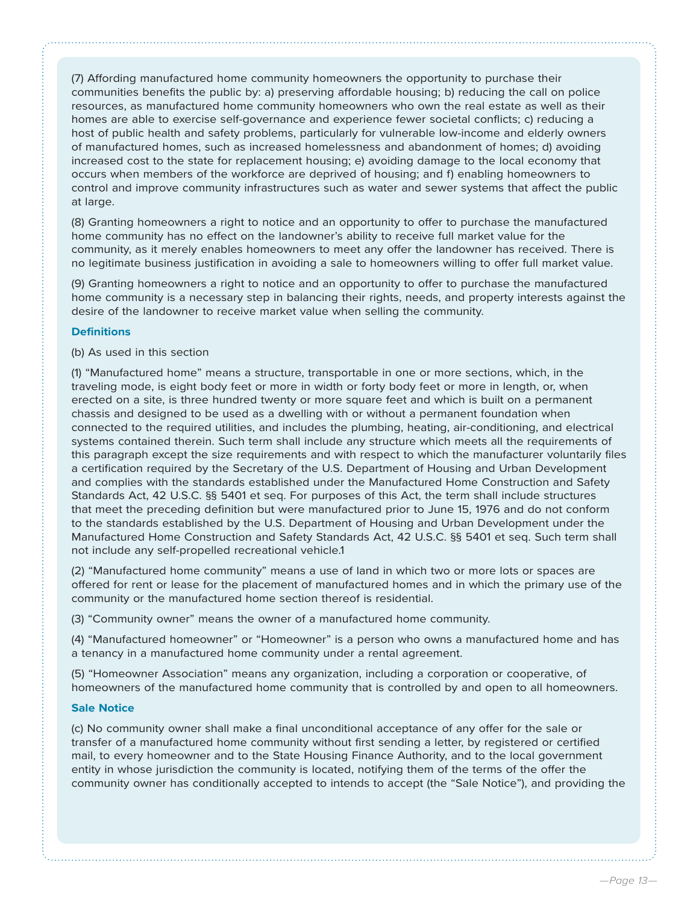(7) Affording manufactured home community homeowners the opportunity to purchase their communities benefits the public by: a) preserving affordable housing; b) reducing the call on police resources, as manufactured home community homeowners who own the real estate as well as their homes are able to exercise self-governance and experience fewer societal conflicts; c) reducing a host of public health and safety problems, particularly for vulnerable low-income and elderly owners of manufactured homes, such as increased homelessness and abandonment of homes; d) avoiding increased cost to the state for replacement housing; e) avoiding damage to the local economy that occurs when members of the workforce are deprived of housing; and f) enabling homeowners to control and improve community infrastructures such as water and sewer systems that affect the public at large.

(8) Granting homeowners a right to notice and an opportunity to offer to purchase the manufactured home community has no effect on the landowner's ability to receive full market value for the community, as it merely enables homeowners to meet any offer the landowner has received. There is no legitimate business justification in avoiding a sale to homeowners willing to offer full market value.

(9) Granting homeowners a right to notice and an opportunity to offer to purchase the manufactured home community is a necessary step in balancing their rights, needs, and property interests against the desire of the landowner to receive market value when selling the community.

### **Definitions**

#### (b) As used in this section

(1) "Manufactured home" means a structure, transportable in one or more sections, which, in the traveling mode, is eight body feet or more in width or forty body feet or more in length, or, when erected on a site, is three hundred twenty or more square feet and which is built on a permanent chassis and designed to be used as a dwelling with or without a permanent foundation when connected to the required utilities, and includes the plumbing, heating, air-conditioning, and electrical systems contained therein. Such term shall include any structure which meets all the requirements of this paragraph except the size requirements and with respect to which the manufacturer voluntarily files a certification required by the Secretary of the U.S. Department of Housing and Urban Development and complies with the standards established under the Manufactured Home Construction and Safety Standards Act, 42 U.S.C. §§ 5401 et seq. For purposes of this Act, the term shall include structures that meet the preceding definition but were manufactured prior to June 15, 1976 and do not conform to the standards established by the U.S. Department of Housing and Urban Development under the Manufactured Home Construction and Safety Standards Act, 42 U.S.C. §§ 5401 et seq. Such term shall not include any self-propelled recreational vehicle.1

(2) "Manufactured home community" means a use of land in which two or more lots or spaces are offered for rent or lease for the placement of manufactured homes and in which the primary use of the community or the manufactured home section thereof is residential.

(3) "Community owner" means the owner of a manufactured home community.

(4) "Manufactured homeowner" or "Homeowner" is a person who owns a manufactured home and has a tenancy in a manufactured home community under a rental agreement.

(5) "Homeowner Association" means any organization, including a corporation or cooperative, of homeowners of the manufactured home community that is controlled by and open to all homeowners.

#### **Sale Notice**

(c) No community owner shall make a final unconditional acceptance of any offer for the sale or transfer of a manufactured home community without first sending a letter, by registered or certified mail, to every homeowner and to the State Housing Finance Authority, and to the local government entity in whose jurisdiction the community is located, notifying them of the terms of the offer the community owner has conditionally accepted to intends to accept (the "Sale Notice"), and providing the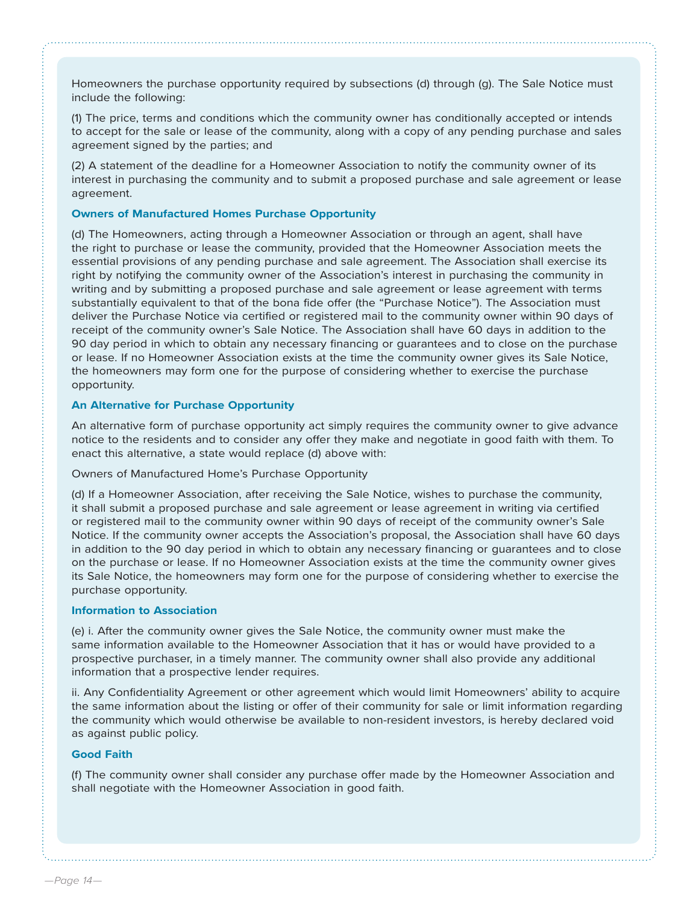Homeowners the purchase opportunity required by subsections (d) through (g). The Sale Notice must include the following:

(1) The price, terms and conditions which the community owner has conditionally accepted or intends to accept for the sale or lease of the community, along with a copy of any pending purchase and sales agreement signed by the parties; and

(2) A statement of the deadline for a Homeowner Association to notify the community owner of its interest in purchasing the community and to submit a proposed purchase and sale agreement or lease agreement.

#### **Owners of Manufactured Homes Purchase Opportunity**

(d) The Homeowners, acting through a Homeowner Association or through an agent, shall have the right to purchase or lease the community, provided that the Homeowner Association meets the essential provisions of any pending purchase and sale agreement. The Association shall exercise its right by notifying the community owner of the Association's interest in purchasing the community in writing and by submitting a proposed purchase and sale agreement or lease agreement with terms substantially equivalent to that of the bona fide offer (the "Purchase Notice"). The Association must deliver the Purchase Notice via certified or registered mail to the community owner within 90 days of receipt of the community owner's Sale Notice. The Association shall have 60 days in addition to the 90 day period in which to obtain any necessary financing or guarantees and to close on the purchase or lease. If no Homeowner Association exists at the time the community owner gives its Sale Notice, the homeowners may form one for the purpose of considering whether to exercise the purchase opportunity.

#### **An Alternative for Purchase Opportunity**

An alternative form of purchase opportunity act simply requires the community owner to give advance notice to the residents and to consider any offer they make and negotiate in good faith with them. To enact this alternative, a state would replace (d) above with:

Owners of Manufactured Home's Purchase Opportunity

(d) If a Homeowner Association, after receiving the Sale Notice, wishes to purchase the community, it shall submit a proposed purchase and sale agreement or lease agreement in writing via certified or registered mail to the community owner within 90 days of receipt of the community owner's Sale Notice. If the community owner accepts the Association's proposal, the Association shall have 60 days in addition to the 90 day period in which to obtain any necessary financing or guarantees and to close on the purchase or lease. If no Homeowner Association exists at the time the community owner gives its Sale Notice, the homeowners may form one for the purpose of considering whether to exercise the purchase opportunity.

#### **Information to Association**

(e) i. After the community owner gives the Sale Notice, the community owner must make the same information available to the Homeowner Association that it has or would have provided to a prospective purchaser, in a timely manner. The community owner shall also provide any additional information that a prospective lender requires.

ii. Any Confidentiality Agreement or other agreement which would limit Homeowners' ability to acquire the same information about the listing or offer of their community for sale or limit information regarding the community which would otherwise be available to non-resident investors, is hereby declared void as against public policy.

#### **Good Faith**

(f) The community owner shall consider any purchase offer made by the Homeowner Association and shall negotiate with the Homeowner Association in good faith.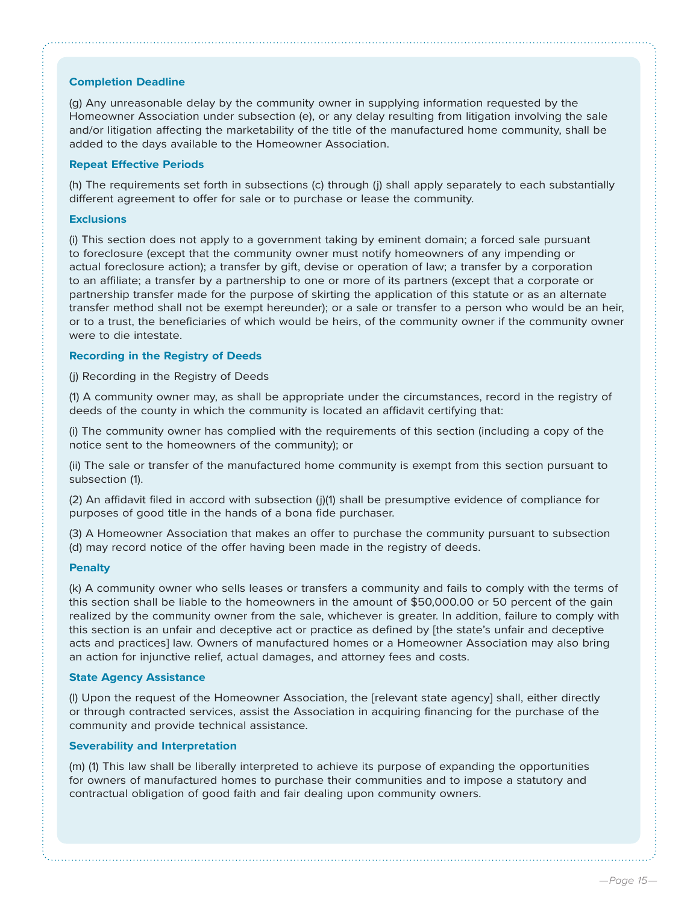## **Completion Deadline**

(g) Any unreasonable delay by the community owner in supplying information requested by the Homeowner Association under subsection (e), or any delay resulting from litigation involving the sale and/or litigation affecting the marketability of the title of the manufactured home community, shall be added to the days available to the Homeowner Association.

#### **Repeat Effective Periods**

(h) The requirements set forth in subsections (c) through (j) shall apply separately to each substantially different agreement to offer for sale or to purchase or lease the community.

### **Exclusions**

(i) This section does not apply to a government taking by eminent domain; a forced sale pursuant to foreclosure (except that the community owner must notify homeowners of any impending or actual foreclosure action); a transfer by gift, devise or operation of law; a transfer by a corporation to an affiliate; a transfer by a partnership to one or more of its partners (except that a corporate or partnership transfer made for the purpose of skirting the application of this statute or as an alternate transfer method shall not be exempt hereunder); or a sale or transfer to a person who would be an heir, or to a trust, the beneficiaries of which would be heirs, of the community owner if the community owner were to die intestate.

## **Recording in the Registry of Deeds**

(j) Recording in the Registry of Deeds

(1) A community owner may, as shall be appropriate under the circumstances, record in the registry of deeds of the county in which the community is located an affidavit certifying that:

(i) The community owner has complied with the requirements of this section (including a copy of the notice sent to the homeowners of the community); or

(ii) The sale or transfer of the manufactured home community is exempt from this section pursuant to subsection (1).

(2) An affidavit filed in accord with subsection (j)(1) shall be presumptive evidence of compliance for purposes of good title in the hands of a bona fide purchaser.

(3) A Homeowner Association that makes an offer to purchase the community pursuant to subsection (d) may record notice of the offer having been made in the registry of deeds.

### **Penalty**

(k) A community owner who sells leases or transfers a community and fails to comply with the terms of this section shall be liable to the homeowners in the amount of \$50,000.00 or 50 percent of the gain realized by the community owner from the sale, whichever is greater. In addition, failure to comply with this section is an unfair and deceptive act or practice as defined by [the state's unfair and deceptive acts and practices] law. Owners of manufactured homes or a Homeowner Association may also bring an action for injunctive relief, actual damages, and attorney fees and costs.

#### **State Agency Assistance**

(l) Upon the request of the Homeowner Association, the [relevant state agency] shall, either directly or through contracted services, assist the Association in acquiring financing for the purchase of the community and provide technical assistance.

### **Severability and Interpretation**

(m) (1) This law shall be liberally interpreted to achieve its purpose of expanding the opportunities for owners of manufactured homes to purchase their communities and to impose a statutory and contractual obligation of good faith and fair dealing upon community owners.